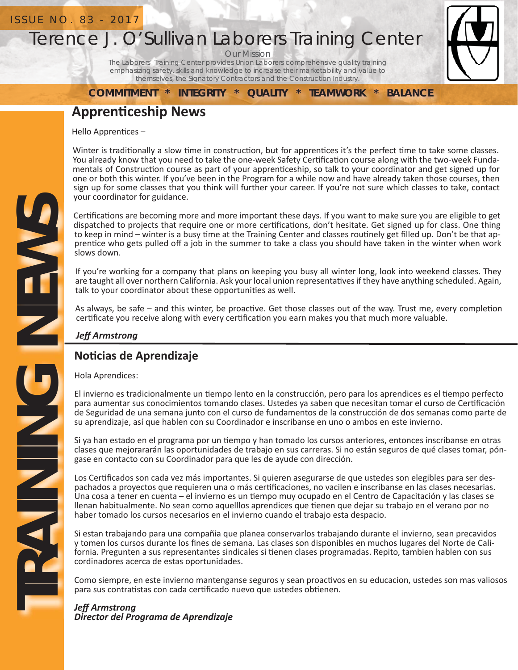## ISSUE NO. 83 - 2017

# Terence J. O'Sullivan Laborers Training Center

Our Mission

The Laborers' Training Center provides Union Laborers comprehensive quality training emphasizing safety, skills and knowledge to increase their marketability and value to themselves, the Signatory Contractors and the Construction Industry.

**COMMITMENT \* INTEGRITY \* QUALITY \* TEAMWORK \* BALANCE**

# **ApprenƟ ceship News**

Hello Apprentices -

Winter is traditionally a slow time in construction, but for apprentices it's the perfect time to take some classes. You already know that you need to take the one-week Safety Certification course along with the two-week Fundamentals of Construction course as part of your apprenticeship, so talk to your coordinator and get signed up for one or both this winter. If you've been in the Program for a while now and have already taken those courses, then sign up for some classes that you think will further your career. If you're not sure which classes to take, contact your coordinator for guidance.

Certifications are becoming more and more important these days. If you want to make sure you are eligible to get dispatched to projects that require one or more certifications, don't hesitate. Get signed up for class. One thing to keep in mind – winter is a busy time at the Training Center and classes routinely get filled up. Don't be that apprentice who gets pulled off a job in the summer to take a class you should have taken in the winter when work slows down.

If you're working for a company that plans on keeping you busy all winter long, look into weekend classes. They are taught all over northern California. Ask your local union representatives if they have anything scheduled. Again, talk to your coordinator about these opportunities as well.

As always, be safe – and this winter, be proactive. Get those classes out of the way. Trust me, every completion certificate you receive along with every certification you earn makes you that much more valuable.

*Jeff Armstrong*

# **NoƟ cias de Aprendizaje**

Hola Aprendices:

El invierno es tradicionalmente un tiempo lento en la construcción, pero para los aprendices es el tiempo perfecto para aumentar sus conocimientos tomando clases. Ustedes ya saben que necesitan tomar el curso de Certificación de Seguridad de una semana junto con el curso de fundamentos de la construcción de dos semanas como parte de su aprendizaje, así que hablen con su Coordinador e inscribanse en uno o ambos en este invierno.

Si ya han estado en el programa por un tiempo y han tomado los cursos anteriores, entonces inscríbanse en otras clases que mejorararán las oportunidades de trabajo en sus carreras. Si no están seguros de qué clases tomar, póngase en contacto con su Coordinador para que les de ayude con dirección.

Los Certificados son cada vez más importantes. Si quieren asegurarse de que ustedes son elegibles para ser despachados a proyectos que requieren una o más certificaciones, no vacilen e inscribanse en las clases necesarias. Una cosa a tener en cuenta – el invierno es un tiempo muy ocupado en el Centro de Capacitación y las clases se llenan habitualmente. No sean como aquelllos aprendices que tienen que dejar su trabajo en el verano por no haber tomado los cursos necesarios en el invierno cuando el trabajo esta despacio.

Si estan trabajando para una compañia que planea conservarlos trabajando durante el invierno, sean precavidos y tomen los cursos durante los fines de semana. Las clases son disponibles en muchos lugares del Norte de California. Pregunten a sus representantes sindicales si tienen clases programadas. Repito, tambien hablen con sus cordinadores acerca de estas oportunidades.

Como siempre, en este invierno mantenganse seguros y sean proactivos en su educacion, ustedes son mas valiosos para sus contratistas con cada certificado nuevo que ustedes obtienen.

#### *Jeff Armstrong Director del Programa de Aprendizaje*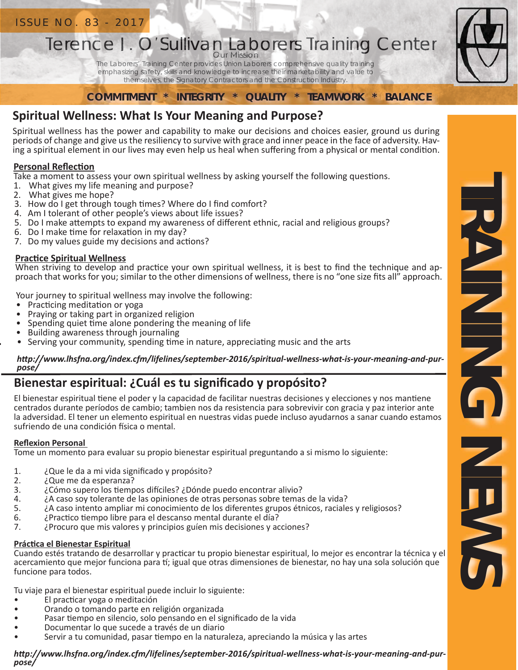# Terence J. O'Sullivan Laborers Training Center Our Mission<br>The Laborers' Training Center provides Union Laborers comprehensive quality training Ference J. O'Sullivan Laborers Training<br>Terence J. O'Sullivan Laborers Training<br>The Laborers' Training Center provides Union Laborers comprehensive quality training<br>emphasizing safety, skills and knowledge to increase thei

emphasizing safety, skills and knowledge to increase their marketability and value to themselves, the Signatory Contractors and the Construction Industry.

**COMMITMENT \* INTEGRITY \* QUALITY \* TEAMWORK \* BALANCE**

# **Spiritual Wellness: What Is Your Meaning and Purpose?**

Spiritual wellness has the power and capability to make our decisions and choices easier, ground us during periods of change and give us the resiliency to survive with grace and inner peace in the face of adversity. Having a spiritual element in our lives may even help us heal when suffering from a physical or mental condition.

# **Personal Reflection**

Take a moment to assess your own spiritual wellness by asking yourself the following questions.

- 1. What gives my life meaning and purpose?
- 2. What gives me hope?
- 3. How do I get through tough times? Where do I find comfort?
- 4. Am I tolerant of other people's views about life issues?
- 5. Do I make attempts to expand my awareness of different ethnic, racial and religious groups?
- 6. Do I make time for relaxation in my day?
- 7. Do my values guide my decisions and actions?

# **PracƟ ce Spiritual Wellness**

When striving to develop and practice your own spiritual wellness, it is best to find the technique and approach that works for you; similar to the other dimensions of wellness, there is no "one size fits all" approach.

Your journey to spiritual wellness may involve the following:

- Practicing meditation or yoga
- Praying or taking part in organized religion
- Spending quiet time alone pondering the meaning of life
- Building awareness through journaling
- Serving your community, spending time in nature, appreciating music and the arts

#### http://www.lhsfna.org/index.cfm/lifelines/september-2016/spiritual-wellness-what-is-your-meaning-and-pur*pose/*

# Bienestar espiritual: ¿Cuál es tu significado y propósito?

El bienestar espiritual tiene el poder y la capacidad de facilitar nuestras decisiones y elecciones y nos mantiene centrados durante períodos de cambio; tambien nos da resistencia para sobrevivir con gracia y paz interior ante la adversidad. El tener un elemento espiritual en nuestras vidas puede incluso ayudarnos a sanar cuando estamos sufriendo de una condición física o mental.

## **Reflexion Personal**

Tome un momento para evaluar su propio bienestar espiritual preguntando a si mismo lo siguiente:

- 1. ¿Que le da a mi vida significado y propósito?
- 2. *i*Que me da esperanza?<br>3. *i*Cómo supero los tiemp
- 3. ¿Cómo supero los tiempos difíciles? ¿Dónde puedo encontrar alivio?<br>4. **A caso sov tolerante de las opiniones de** otras personas sobre temas
- 4. ¿A caso soy tolerante de las opiniones de otras personas sobre temas de la vida?
- 5. ¿A caso intento ampliar mi conocimiento de los diferentes grupos étnicos, raciales y religiosos?
- 6. ¿Practico tiempo libre para el descanso mental durante el día?<br>7. **i** Procuro que mis valores y principios guíen mis decisiones y ac
- 7. ¿Procuro que mis valores y principios guíen mis decisiones y acciones?

## **PrácƟ ca el Bienestar Espiritual**

Cuando estés tratando de desarrollar y practicar tu propio bienestar espiritual, lo mejor es encontrar la técnica y el acercamiento que mejor funciona para tí; igual que otras dimensiones de bienestar, no hay una sola solución que funcione para todos.

Tu viaje para el bienestar espiritual puede incluir lo siguiente:

- El practicar yoga o meditación
- Orando o tomando parte en religión organizada
- Pasar tiempo en silencio, solo pensando en el significado de la vida
- Documentar lo que sucede a través de un diario
- Servir a tu comunidad, pasar tiempo en la naturaleza, apreciando la música y las artes

*hƩ p://www.lhsfna.org/index.cfm/lifelines/september-2016/spiritual-wellness-what-is-your-meaning-and-purpose/*

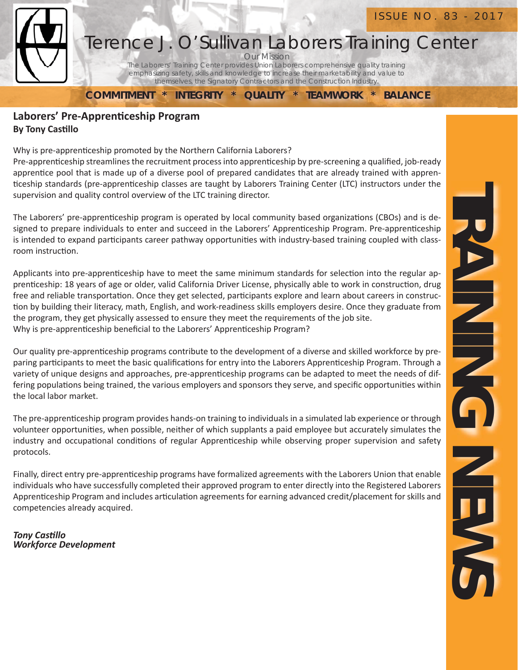

# Our Mission Terence J. O'Sullivan Laborers Training Center

The Laborers' Training Center provides Union Laborers comprehensive quality training emphasizing safety, skills and knowledge to increase their marketability and value to themselves, the Signatory Contractors and the Construction Industry.

**COMMITMENT \* INTEGRITY \* QUALITY \* TEAMWORK \* BALANCE**

## **Laborers' Pre-Apprenticeship Program By Tony Castillo**

Why is pre-apprenticeship promoted by the Northern California Laborers?

Pre-apprenticeship streamlines the recruitment process into apprenticeship by pre-screening a qualified, job-ready apprentice pool that is made up of a diverse pool of prepared candidates that are already trained with apprenticeship standards (pre-apprenticeship classes are taught by Laborers Training Center (LTC) instructors under the supervision and quality control overview of the LTC training director.

The Laborers' pre-apprenticeship program is operated by local community based organizations (CBOs) and is designed to prepare individuals to enter and succeed in the Laborers' Apprenticeship Program. Pre-apprenticeship is intended to expand participants career pathway opportunities with industry-based training coupled with classroom instruction.

Applicants into pre-apprenticeship have to meet the same minimum standards for selection into the regular apprenticeship: 18 years of age or older, valid California Driver License, physically able to work in construction, drug free and reliable transportation. Once they get selected, participants explore and learn about careers in construction by building their literacy, math, English, and work-readiness skills employers desire. Once they graduate from the program, they get physically assessed to ensure they meet the requirements of the job site. Why is pre-apprenticeship beneficial to the Laborers' Apprenticeship Program?

Our quality pre-apprenticeship programs contribute to the development of a diverse and skilled workforce by preparing participants to meet the basic qualifications for entry into the Laborers Apprenticeship Program. Through a variety of unique designs and approaches, pre-apprenticeship programs can be adapted to meet the needs of differing populations being trained, the various employers and sponsors they serve, and specific opportunities within the local labor market.

The pre-apprenticeship program provides hands-on training to individuals in a simulated lab experience or through volunteer opportunities, when possible, neither of which supplants a paid employee but accurately simulates the industry and occupational conditions of regular Apprenticeship while observing proper supervision and safety protocols.

Finally, direct entry pre-apprenticeship programs have formalized agreements with the Laborers Union that enable individuals who have successfully completed their approved program to enter directly into the Registered Laborers Apprenticeship Program and includes articulation agreements for earning advanced credit/placement for skills and competencies already acquired.

*Tony CasƟ llo Workforce Development*